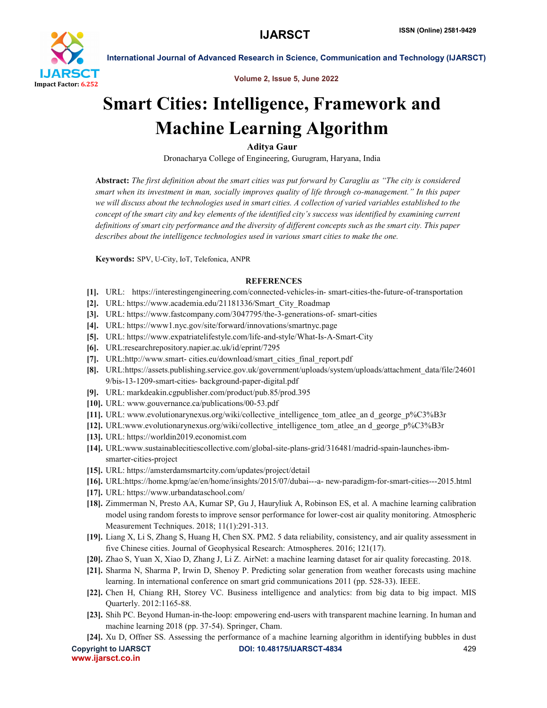

International Journal of Advanced Research in Science, Communication and Technology (IJARSCT)

Volume 2, Issue 5, June 2022

# Smart Cities: Intelligence, Framework and Machine Learning Algorithm

Aditya Gaur

Dronacharya College of Engineering, Gurugram, Haryana, India

Abstract: *The first definition about the smart cities was put forward by Caragliu as "The city is considered smart when its investment in man, socially improves quality of life through co-management." In this paper we will discuss about the technologies used in smart cities. A collection of varied variables established to the concept of the smart city and key elements of the identified city's success was identified by examining current definitions of smart city performance and the diversity of different concepts such as the smart city. This paper describes about the intelligence technologies used in various smart cities to make the one.*

Keywords: SPV, U-City, IoT, Telefonica, ANPR

## **REFERENCES**

- [1]. URL: https://interestingengineering.com/connected-vehicles-in- smart-cities-the-future-of-transportation
- [2]. URL: https://www.academia.edu/21181336/Smart\_City\_Roadmap
- [3]. URL: https://www.fastcompany.com/3047795/the-3-generations-of- smart-cities
- [4]. URL: https://www1.nyc.gov/site/forward/innovations/smartnyc.page
- [5]. URL: https://www.expatriatelifestyle.com/life-and-style/What-Is-A-Smart-City
- [6]. URL:researchrepository.napier.ac.uk/id/eprint/7295
- [7]. URL:http://www.smart- cities.eu/download/smart\_cities\_final\_report.pdf
- [8]. URL:https://assets.publishing.service.gov.uk/government/uploads/system/uploads/attachment\_data/file/24601 9/bis-13-1209-smart-cities- background-paper-digital.pdf
- [9]. URL: markdeakin.cgpublisher.com/product/pub.85/prod.395
- [10]. URL: www.gouvernance.ca/publications/00-53.pdf
- [11]. URL: www.evolutionarynexus.org/wiki/collective\_intelligence\_tom\_atlee\_an d\_george\_p%C3%B3r
- [12]. URL:www.evolutionarynexus.org/wiki/collective\_intelligence\_tom\_atlee\_an d\_george\_p%C3%B3r
- [13]. URL: https://worldin2019.economist.com
- [14]. URL:www.sustainablecitiescollective.com/global-site-plans-grid/316481/madrid-spain-launches-ibmsmarter-cities-project
- [15]. URL: https://amsterdamsmartcity.com/updates/project/detail
- [16]. URL:https://home.kpmg/ae/en/home/insights/2015/07/dubai---a- new-paradigm-for-smart-cities---2015.html
- [17]. URL: https://www.urbandataschool.com/
- [18]. Zimmerman N, Presto AA, Kumar SP, Gu J, Hauryliuk A, Robinson ES, et al. A machine learning calibration model using random forests to improve sensor performance for lower-cost air quality monitoring. Atmospheric Measurement Techniques. 2018; 11(1):291-313.
- [19]. Liang X, Li S, Zhang S, Huang H, Chen SX. PM2. 5 data reliability, consistency, and air quality assessment in five Chinese cities. Journal of Geophysical Research: Atmospheres. 2016; 121(17).
- [20]. Zhao S, Yuan X, Xiao D, Zhang J, Li Z. AirNet: a machine learning dataset for air quality forecasting. 2018.
- [21]. Sharma N, Sharma P, Irwin D, Shenoy P. Predicting solar generation from weather forecasts using machine learning. In international conference on smart grid communications 2011 (pp. 528-33). IEEE.
- [22]. Chen H, Chiang RH, Storey VC. Business intelligence and analytics: from big data to big impact. MIS Quarterly. 2012:1165-88.
- [23]. Shih PC. Beyond Human-in-the-loop: empowering end-users with transparent machine learning. In human and machine learning 2018 (pp. 37-54). Springer, Cham.
- [24]. Xu D, Offner SS. Assessing the performance of a machine learning algorithm in identifying bubbles in dust

www.ijarsct.co.in